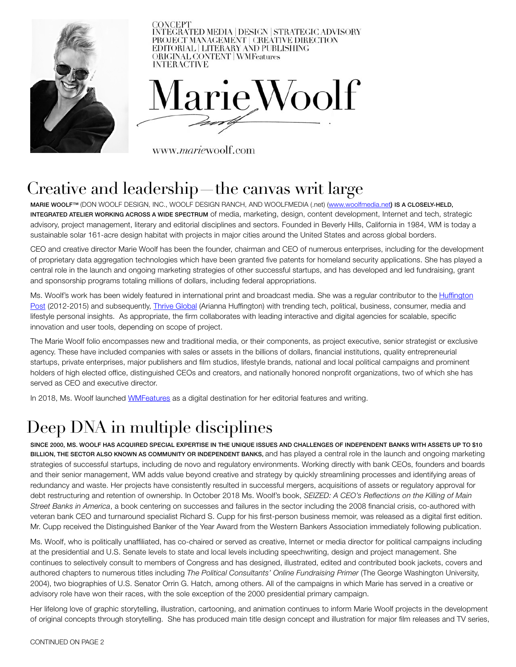

## Creative and leadership—the canvas writ large

MARIE WOOLF™ (DON WOOLF DESIGN, INC., WOOLF DESIGN RANCH, AND WOOLFMEDIA (.net) [\(www.woolfmedia.net](http://www.woolfmedia.net)) IS A CLOSELY-HELD, INTEGRATED ATELIER WORKING ACROSS A WIDE SPECTRUM of media, marketing, design, content development, Internet and tech, strategic advisory, project management, literary and editorial disciplines and sectors. Founded in Beverly Hills, California in 1984, WM is today a sustainable solar 161-acre design habitat with projects in major cities around the United States and across global borders.

CEO and creative director Marie Woolf has been the founder, chairman and CEO of numerous enterprises, including for the development of proprietary data aggregation technologies which have been granted five patents for homeland security applications. She has played a central role in the launch and ongoing marketing strategies of other successful startups, and has developed and led fundraising, grant and sponsorship programs totaling millions of dollars, including federal appropriations.

Ms. Woolf's work has been widely featured in international print and broadcast media. She was a regular contributor to the Huffington [Post](https://www.huffpost.com/author/woolf-704) (2012-2015) and subsequently, *Thrive Global* (Arianna Huffington) with trending tech, political, business, consumer, media and lifestyle personal insights. As appropriate, the firm collaborates with leading interactive and digital agencies for scalable, specific innovation and user tools, depending on scope of project.

The Marie Woolf folio encompasses new and traditional media, or their components, as project executive, senior strategist or exclusive agency. These have included companies with sales or assets in the billions of dollars, financial institutions, quality entrepreneurial startups, private enterprises, major publishers and film studios, lifestyle brands, national and local political campaigns and prominent holders of high elected office, distinguished CEOs and creators, and nationally honored nonprofit organizations, two of which she has served as CEO and executive director.

In 2018, Ms. Woolf launched [WMFeatures](https://www.woolfmedia.net/wm-features) as a digital destination for her editorial features and writing.

## Deep DNA in multiple disciplines

SINCE 2000, MS. WOOLF HAS ACQUIRED SPECIAL EXPERTISE IN THE UNIQUE ISSUES AND CHALLENGES OF INDEPENDENT BANKS WITH ASSETS UP TO \$10 BILLION, THE SECTOR ALSO KNOWN AS COMMUNITY OR INDEPENDENT BANKS, and has played a central role in the launch and ongoing marketing strategies of successful startups, including de novo and regulatory environments. Working directly with bank CEOs, founders and boards and their senior management, WM adds value beyond creative and strategy by quickly streamlining processes and identifying areas of redundancy and waste. Her projects have consistently resulted in successful mergers, acquisitions of assets or regulatory approval for debt restructuring and retention of ownership. In October 2018 Ms. Woolf's book, *SEIZED: A CEO's Reflections on the Killing of Main Street Banks in America*, a book centering on successes and failures in the sector including the 2008 financial crisis, co-authored with veteran bank CEO and turnaround specialist Richard S. Cupp for his first-person business memoir, was released as a digital first edition. Mr. Cupp received the Distinguished Banker of the Year Award from the Western Bankers Association immediately following publication.

Ms. Woolf, who is politically unaffiliated, has co-chaired or served as creative, Internet or media director for political campaigns including at the presidential and U.S. Senate levels to state and local levels including speechwriting, design and project management. She continues to selectively consult to members of Congress and has designed, illustrated, edited and contributed book jackets, covers and authored chapters to numerous titles including *The Political Consultants' Online Fundraising Primer* (The George Washington University, 2004), two biographies of U.S. Senator Orrin G. Hatch, among others. All of the campaigns in which Marie has served in a creative or advisory role have won their races, with the sole exception of the 2000 presidential primary campaign.

Her lifelong love of graphic storytelling, illustration, cartooning, and animation continues to inform Marie Woolf projects in the development of original concepts through storytelling. She has produced main title design concept and illustration for major film releases and TV series,